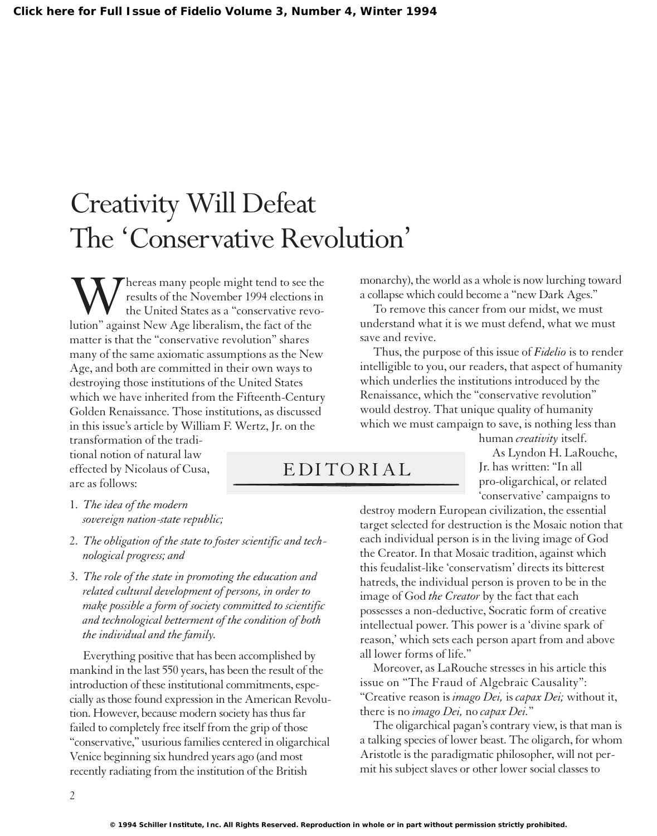## Creativity Will Defeat The 'Conservative Revolution'

Whereas many people might tend to see the<br>the United States as a "conservative revo-<br>lution" against New Age liberalism, the fact of the results of the November 1994 elections in the United States as a "conservative revomatter is that the "conservative revolution" shares many of the same axiomatic assumptions as the New Age, and both are committed in their own ways to destroying those institutions of the United States which we have inherited from the Fifteenth-Century Golden Renaissance. Those institutions, as discussed in this issue's article by William F. Wertz, Jr. on the

transformation of the traditional notion of natural law effected by Nicolaus of Cusa, are as follows:

1. *The idea of the modern sovereign nation-state republic;*

- 2. *The obligation of the state to foster scientific and technological progress; and*
- 3. *The role of the state in promoting the education and related cultural development of persons, in order to make possible a form of society committed to scientific and technological betterment of the condition of both the individual and the family.*

Everything positive that has been accomplished by mankind in the last 550 years, has been the result of the introduction of these institutional commitments, especially as those found expression in the American Revolution. However, because modern society has thus far failed to completely free itself from the grip of those "conservative," usurious families centered in oligarchical Venice beginning six hundred years ago (and most recently radiating from the institution of the British

monarchy), the world as a whole is now lurching toward a collapse which could become a "new Dark Ages."

To remove this cancer from our midst, we must understand what it is we must defend, what we must save and revive.

Thus, the purpose of this issue of *Fidelio* is to render intelligible to you, our readers, that aspect of humanity which underlies the institutions introduced by the Renaissance, which the "conservative revolution" would destroy. That unique quality of humanity which we must campaign to save, is nothing less than

## EDITORIAL

human *creativity* itself. As Lyndon H. LaRouche, Jr. has written: "In all pro-oligarchical, or related 'conservative' campaigns to

destroy modern European civilization, the essential target selected for destruction is the Mosaic notion that each individual person is in the living image of God the Creator. In that Mosaic tradition, against which this feudalist-like 'conservatism' directs its bitterest hatreds, the individual person is proven to be in the image of God *the Creator* by the fact that each possesses a non-deductive, Socratic form of creative intellectual power. This power is a 'divine spark of reason,' which sets each person apart from and above all lower forms of life."

Moreover, as LaRouche stresses in his article this issue on "The Fraud of Algebraic Causality": "Creative reason is *imago Dei,* is *capax Dei;* without it, there is no *imago Dei,* no *capax Dei.*"

The oligarchical pagan'scontrary view, is that man is a talking species of lower beast. The oligarch, for whom Aristotle is the paradigmatic philosopher, will not permit his subject slaves or other lower social classes to